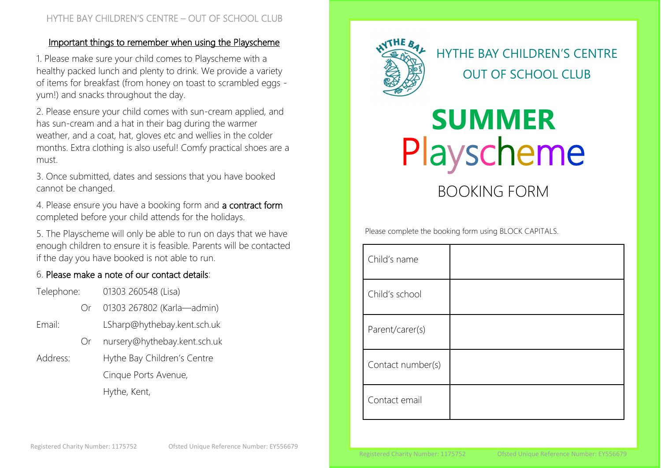### Important things to remember when using the Playscheme

1. Please make sure your child comes to Playscheme with a healthy packed lunch and plenty to drink. We provide a variety of items for breakfast (from honey on toast to scrambled eggs yum!) and snacks throughout the day.

2. Please ensure your child comes with sun-cream applied, and has sun-cream and a hat in their bag during the warmer weather, and a coat, hat, gloves etc and wellies in the colder months. Extra clothing is also useful! Comfy practical shoes are a must.

3. Once submitted, dates and sessions that you have booked cannot be changed.

4. Please ensure you have a booking form and a contract form completed before your child attends for the holidays.

5. The Playscheme will only be able to run on days that we have enough children to ensure it is feasible. Parents will be contacted if the day you have booked is not able to run.

## 6. Please make a note of our contact details:

| Telephone: |     | 01303 260548 (Lisa)          |  |
|------------|-----|------------------------------|--|
|            | ()r | 01303 267802 (Karla-admin)   |  |
| Email:     |     | LSharp@hythebay.kent.sch.uk  |  |
|            | (Ur | nursery@hythebay.kent.sch.uk |  |
| Address:   |     | Hythe Bay Children's Centre  |  |
|            |     | Cinque Ports Avenue,         |  |
|            |     | Hythe, Kent,                 |  |



# HYTHE BAY CHILDREN'S CENTRE OUT OF SCHOOL CLUB

# Playscheme **SUMMER**

 $H_{\rm eff}$  and  $H_{\rm eff}$  can be defined as  $\sim$  out of  $S$  . Our of  $S$  can be defined as  $\sim$ 

BOOKING FORM

Please complete the booking form using BLOCK CAPITALS.

| Child's name      |  |
|-------------------|--|
| Child's school    |  |
| Parent/carer(s)   |  |
| Contact number(s) |  |
| Contact email     |  |